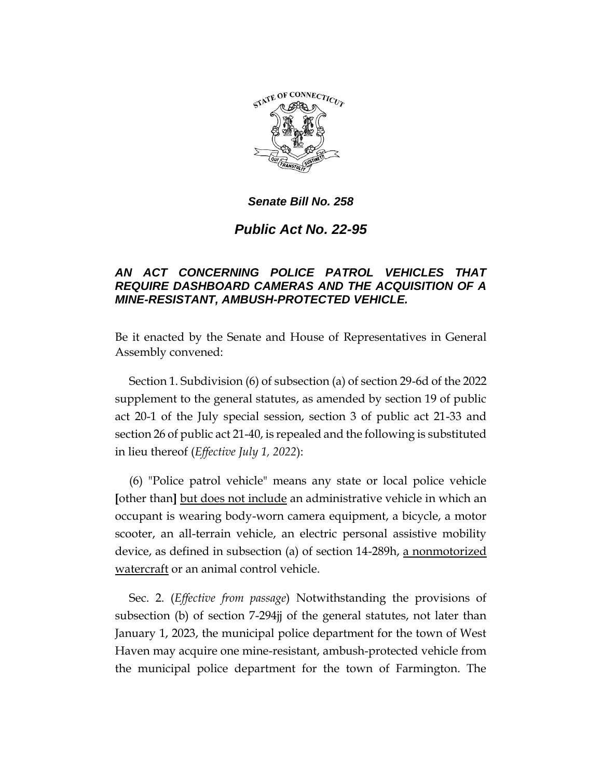

*Senate Bill No. 258*

*Public Act No. 22-95*

## *AN ACT CONCERNING POLICE PATROL VEHICLES THAT REQUIRE DASHBOARD CAMERAS AND THE ACQUISITION OF A MINE-RESISTANT, AMBUSH-PROTECTED VEHICLE.*

Be it enacted by the Senate and House of Representatives in General Assembly convened:

Section 1. Subdivision (6) of subsection (a) of section 29-6d of the 2022 supplement to the general statutes, as amended by section 19 of public act 20-1 of the July special session, section 3 of public act 21-33 and section 26 of public act 21-40, is repealed and the following is substituted in lieu thereof (*Effective July 1, 2022*):

(6) "Police patrol vehicle" means any state or local police vehicle **[**other than**]** but does not include an administrative vehicle in which an occupant is wearing body-worn camera equipment, a bicycle, a motor scooter, an all-terrain vehicle, an electric personal assistive mobility device, as defined in subsection (a) of section 14-289h, a nonmotorized watercraft or an animal control vehicle.

Sec. 2. (*Effective from passage*) Notwithstanding the provisions of subsection (b) of section 7-294jj of the general statutes, not later than January 1, 2023, the municipal police department for the town of West Haven may acquire one mine-resistant, ambush-protected vehicle from the municipal police department for the town of Farmington. The